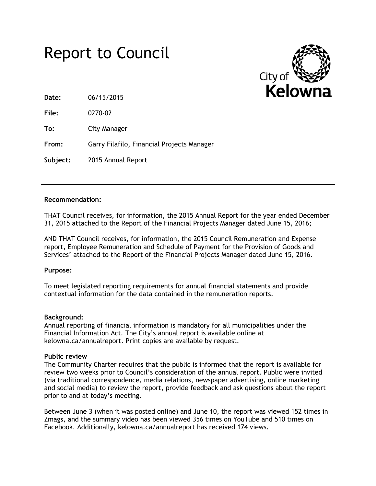# Report to Council



**Date:** 06/15/2015

**File:** 0270-02

**To:** City Manager

**From:** Garry Filafilo, Financial Projects Manager

**Subject:** 2015 Annual Report

### **Recommendation:**

THAT Council receives, for information, the 2015 Annual Report for the year ended December 31, 2015 attached to the Report of the Financial Projects Manager dated June 15, 2016;

AND THAT Council receives, for information, the 2015 Council Remuneration and Expense report, Employee Remuneration and Schedule of Payment for the Provision of Goods and Services' attached to the Report of the Financial Projects Manager dated June 15, 2016.

## **Purpose:**

To meet legislated reporting requirements for annual financial statements and provide contextual information for the data contained in the remuneration reports.

#### **Background:**

Annual reporting of financial information is mandatory for all municipalities under the Financial Information Act. The City's annual report is available online at kelowna.ca/annualreport. Print copies are available by request.

## **Public review**

The Community Charter requires that the public is informed that the report is available for review two weeks prior to Council's consideration of the annual report. Public were invited (via traditional correspondence, media relations, newspaper advertising, online marketing and social media) to review the report, provide feedback and ask questions about the report prior to and at today's meeting.

Between June 3 (when it was posted online) and June 10, the report was viewed 152 times in Zmags, and the summary video has been viewed 356 times on YouTube and 510 times on Facebook. Additionally, kelowna.ca/annualreport has received 174 views.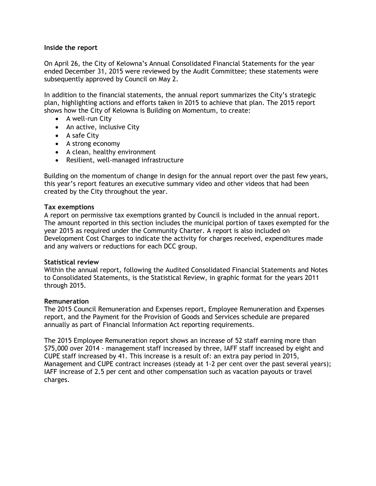### **Inside the report**

On April 26, the City of Kelowna's Annual Consolidated Financial Statements for the year ended December 31, 2015 were reviewed by the Audit Committee; these statements were subsequently approved by Council on May 2.

In addition to the financial statements, the annual report summarizes the City's strategic plan, highlighting actions and efforts taken in 2015 to achieve that plan. The 2015 report shows how the City of Kelowna is Building on Momentum, to create:

- A well-run City
- An active, inclusive City
- A safe City
- A strong economy
- A clean, healthy environment
- Resilient, well-managed infrastructure

Building on the momentum of change in design for the annual report over the past few years, this year's report features an executive summary video and other videos that had been created by the City throughout the year.

#### **Tax exemptions**

A report on permissive tax exemptions granted by Council is included in the annual report. The amount reported in this section includes the municipal portion of taxes exempted for the year 2015 as required under the Community Charter. A report is also included on Development Cost Charges to indicate the activity for charges received, expenditures made and any waivers or reductions for each DCC group.

#### **Statistical review**

Within the annual report, following the Audited Consolidated Financial Statements and Notes to Consolidated Statements, is the Statistical Review, in graphic format for the years 2011 through 2015.

#### **Remuneration**

The 2015 Council Remuneration and Expenses report, Employee Remuneration and Expenses report, and the Payment for the Provision of Goods and Services schedule are prepared annually as part of Financial Information Act reporting requirements.

The 2015 Employee Remuneration report shows an increase of 52 staff earning more than \$75,000 over 2014 - management staff increased by three, IAFF staff increased by eight and CUPE staff increased by 41. This increase is a result of: an extra pay period in 2015, Management and CUPE contract increases (steady at 1-2 per cent over the past several years); IAFF increase of 2.5 per cent and other compensation such as vacation payouts or travel charges.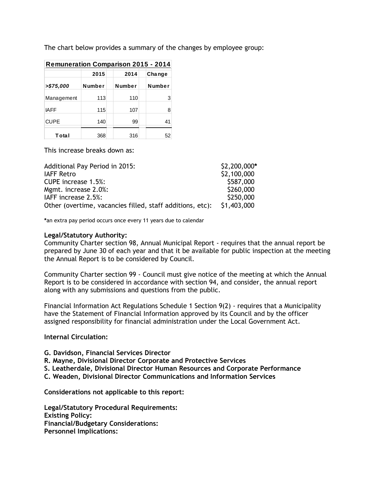The chart below provides a summary of the changes by employee group:

| <b>Remuneration Comparison 2015 - 2014</b> |        |        |        |  |
|--------------------------------------------|--------|--------|--------|--|
|                                            | 2015   | 2014   | Change |  |
| >\$75,000                                  | Number | Number | Number |  |
| Management                                 | 113    | 110    | 3      |  |
| <b>IAFF</b>                                | 115    | 107    | 8      |  |
| <b>CUPE</b>                                | 140    | 99     | 41     |  |
| Total                                      | 368    | 316    | 52     |  |

This increase breaks down as:

| <b>Additional Pay Period in 2015:</b>                     | \$2,200,000* |
|-----------------------------------------------------------|--------------|
| <b>IAFF Retro</b>                                         | \$2,100,000  |
| <b>CUPE</b> increase 1.5%:                                | \$587,000    |
| Mgmt. increase 2.0%:                                      | \$260,000    |
| IAFF increase 2.5%:                                       | \$250,000    |
| Other (overtime, vacancies filled, staff additions, etc): | \$1,403,000  |

**\***an extra pay period occurs once every 11 years due to calendar

#### **Legal/Statutory Authority:**

Community Charter section 98, Annual Municipal Report - requires that the annual report be prepared by June 30 of each year and that it be available for public inspection at the meeting the Annual Report is to be considered by Council.

Community Charter section 99 - Council must give notice of the meeting at which the Annual Report is to be considered in accordance with section 94, and consider, the annual report along with any submissions and questions from the public.

Financial Information Act Regulations Schedule 1 Section 9(2) - requires that a Municipality have the Statement of Financial Information approved by its Council and by the officer assigned responsibility for financial administration under the Local Government Act.

#### **Internal Circulation:**

**G. Davidson, Financial Services Director**

- **R. Mayne, Divisional Director Corporate and Protective Services**
- **S. Leatherdale, Divisional Director Human Resources and Corporate Performance**
- **C. Weaden, Divisional Director Communications and Information Services**

**Considerations not applicable to this report:**

**Legal/Statutory Procedural Requirements: Existing Policy: Financial/Budgetary Considerations: Personnel Implications:**